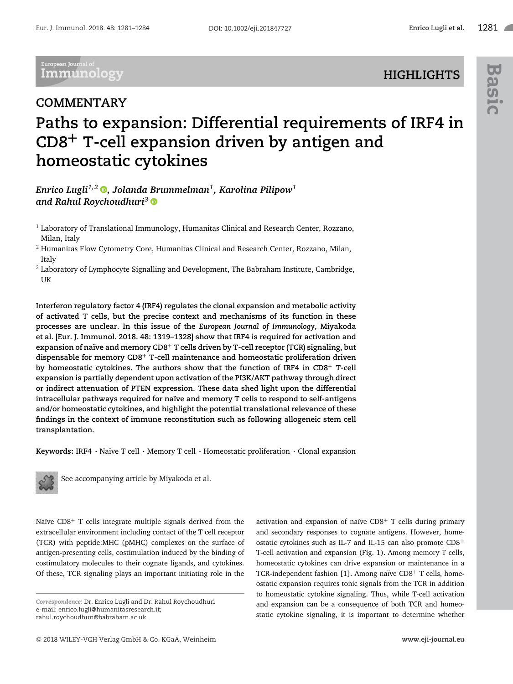**HIGHLIGHTS**

European Journal of **Immunology** 

## **COMMENTARY**

## **Paths to expansion: Differential requirements of IRF4 in CD8+ T-cell expansion driven by antigen and homeostatic cytokines**

*Enrico Lugli1,2 [,](http://orcid.org/0000-0002-1964-7678) Jolanda Brummelman1, Karolina Pilipow1 and Rahul Roychoudhuri<sup>3</sup>*

<sup>1</sup> Laboratory of Translational Immunology, Humanitas Clinical and Research Center, Rozzano, Milan, Italy

 $<sup>2</sup>$  Humanitas Flow Cytometry Core, Humanitas Clinical and Research Center, Rozzano, Milan,</sup> Italy

<sup>3</sup> Laboratory of Lymphocyte Signalling and Development, The Babraham Institute, Cambridge, UK

**Interferon regulatory factor 4 (IRF4) regulates the clonal expansion and metabolic activity of activated T cells, but the precise context and mechanisms of its function in these processes are unclear. In this issue of the** *European Journal of Immunology***, Miyakoda et al. [Eur. J. Immunol. 2018. 48: 1319–1328] show that IRF4 is required for activation and expansion of na¨ıve and memory CD8<sup>+</sup> T cells driven by T-cell receptor (TCR) signaling, but dispensable for memory CD8<sup>+</sup> T-cell maintenance and homeostatic proliferation driven by homeostatic cytokines. The authors show that the function of IRF4 in CD8<sup>+</sup> T-cell expansion is partially dependent upon activation of the PI3K/AKT pathway through direct or indirect attenuation of PTEN expression. These data shed light upon the differential intracellular pathways required for na¨ıve and memory T cells to respond to self-antigens and/or homeostatic cytokines, and highlight the potential translational relevance of these findings in the context of immune reconstitution such as following allogeneic stem cell transplantation.**

Keywords: IRF4 · Naïve T cell · Memory T cell · Homeostatic proliferation · Clonal expansion



See accompanying article by Miyakoda et al.

Naïve  $CD8<sup>+</sup>$  T cells integrate multiple signals derived from the extracellular environment including contact of the T cell receptor (TCR) with peptide:MHC (pMHC) complexes on the surface of antigen-presenting cells, costimulation induced by the binding of costimulatory molecules to their cognate ligands, and cytokines. Of these, TCR signaling plays an important initiating role in the

activation and expansion of naïve  $CDS+T$  cells during primary and secondary responses to cognate antigens. However, homeostatic cytokines such as IL-7 and IL-15 can also promote CD8<sup>+</sup> T-cell activation and expansion (Fig. 1). Among memory T cells, homeostatic cytokines can drive expansion or maintenance in a TCR-independent fashion [1]. Among naïve CD8+ T cells, homeostatic expansion requires tonic signals from the TCR in addition to homeostatic cytokine signaling. Thus, while T-cell activation and expansion can be a consequence of both TCR and homeostatic cytokine signaling, it is important to determine whether

*Correspondence:* Dr. Enrico Lugli and Dr. Rahul Roychoudhuri e-mail: enrico.lugli@humanitasresearch.it; rahul.roychoudhuri@babraham.ac.uk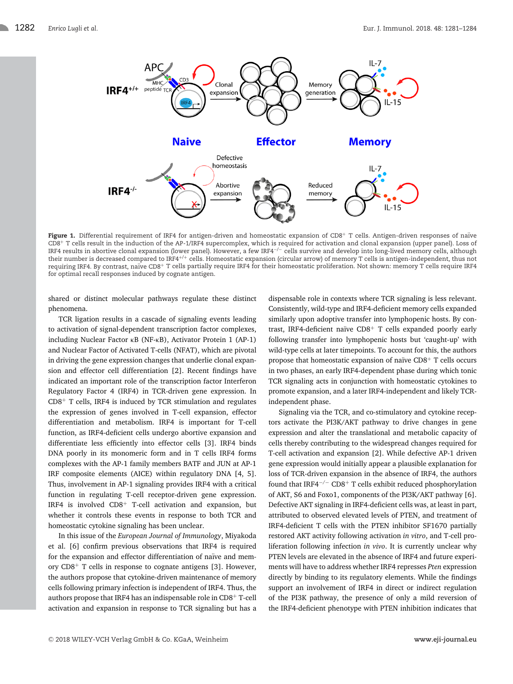

Figure 1. Differential requirement of IRF4 for antigen-driven and homeostatic expansion of CD8<sup>+</sup> T cells. Antigen-driven responses of naïve CD8+ T cells result in the induction of the AP-1/IRF4 supercomplex, which is required for activation and clonal expansion (upper panel). Loss of IRF4 results in abortive clonal expansion (lower panel). However, a few IRF4−/<sup>−</sup> cells survive and develop into long-lived memory cells, although their number is decreased compared to IRF4+/<sup>+</sup> cells. Homeostatic expansion (circular arrow) of memory T cells is antigen-independent, thus not requiring IRF4. By contrast, naïve CD8+ T cells partially require IRF4 for their homeostatic proliferation. Not shown: memory T cells require IRF4 for optimal recall responses induced by cognate antigen.

shared or distinct molecular pathways regulate these distinct phenomena.

TCR ligation results in a cascade of signaling events leading to activation of signal-dependent transcription factor complexes, including Nuclear Factor κB (NF-κB), Activator Protein 1 (AP-1) and Nuclear Factor of Activated T-cells (NFAT), which are pivotal in driving the gene expression changes that underlie clonal expansion and effector cell differentiation [2]. Recent findings have indicated an important role of the transcription factor Interferon Regulatory Factor 4 (IRF4) in TCR-driven gene expression. In  $CD8<sup>+</sup>$  T cells, IRF4 is induced by TCR stimulation and regulates the expression of genes involved in T-cell expansion, effector differentiation and metabolism. IRF4 is important for T-cell function, as IRF4-deficient cells undergo abortive expansion and differentiate less efficiently into effector cells [3]. IRF4 binds DNA poorly in its monomeric form and in T cells IRF4 forms complexes with the AP-1 family members BATF and JUN at AP-1 IRF composite elements (AICE) within regulatory DNA [4, 5]. Thus, involvement in AP-1 signaling provides IRF4 with a critical function in regulating T-cell receptor-driven gene expression. IRF4 is involved CD8<sup>+</sup> T-cell activation and expansion, but whether it controls these events in response to both TCR and homeostatic cytokine signaling has been unclear.

In this issue of the *European Journal of Immunology*, Miyakoda et al. [6] confirm previous observations that IRF4 is required for the expansion and effector differentiation of naïve and memory  $CD8<sup>+</sup>$  T cells in response to cognate antigens [3]. However, the authors propose that cytokine-driven maintenance of memory cells following primary infection is independent of IRF4. Thus, the authors propose that IRF4 has an indispensable role in CD8<sup>+</sup> T-cell activation and expansion in response to TCR signaling but has a dispensable role in contexts where TCR signaling is less relevant. Consistently, wild-type and IRF4-deficient memory cells expanded similarly upon adoptive transfer into lymphopenic hosts. By contrast, IRF4-deficient naïve  $CD8<sup>+</sup>$  T cells expanded poorly early following transfer into lymphopenic hosts but 'caught-up' with wild-type cells at later timepoints. To account for this, the authors propose that homeostatic expansion of naïve  $CDS<sup>+</sup>$  T cells occurs in two phases, an early IRF4-dependent phase during which tonic TCR signaling acts in conjunction with homeostatic cytokines to promote expansion, and a later IRF4-independent and likely TCRindependent phase.

Signaling via the TCR, and co-stimulatory and cytokine receptors activate the PI3K/AKT pathway to drive changes in gene expression and alter the translational and metabolic capacity of cells thereby contributing to the widespread changes required for T-cell activation and expansion [2]. While defective AP-1 driven gene expression would initially appear a plausible explanation for loss of TCR-driven expansion in the absence of IRF4, the authors found that IRF4−/<sup>−</sup> CD8<sup>+</sup> T cells exhibit reduced phosphorylation of AKT, S6 and Foxo1, components of the PI3K/AKT pathway [6]. Defective AKT signaling in IRF4-deficient cells was, at least in part, attributed to observed elevated levels of PTEN, and treatment of IRF4-deficient T cells with the PTEN inhibitor SF1670 partially restored AKT activity following activation *in vitro*, and T-cell proliferation following infection *in vivo*. It is currently unclear why PTEN levels are elevated in the absence of IRF4 and future experiments will have to address whether IRF4 represses *Pten* expression directly by binding to its regulatory elements. While the findings support an involvement of IRF4 in direct or indirect regulation of the PI3K pathway, the presence of only a mild reversion of the IRF4-deficient phenotype with PTEN inhibition indicates that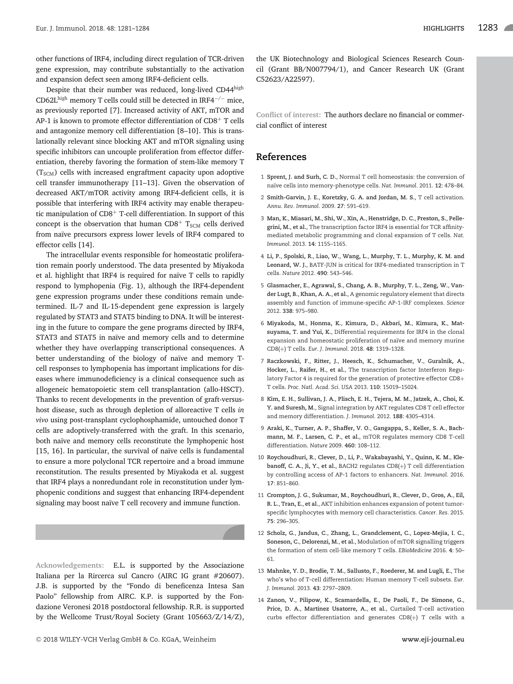other functions of IRF4, including direct regulation of TCR-driven gene expression, may contribute substantially to the activation and expansion defect seen among IRF4-deficient cells.

Despite that their number was reduced, long-lived CD44high CD62Lhigh memory T cells could still be detected in IRF4−/<sup>−</sup> mice, as previously reported [7]. Increased activity of AKT, mTOR and AP-1 is known to promote effector differentiation of  $CD8<sup>+</sup>$  T cells and antagonize memory cell differentiation [8–10]. This is translationally relevant since blocking AKT and mTOR signaling using specific inhibitors can uncouple proliferation from effector differentiation, thereby favoring the formation of stem-like memory T  $(T<sub>SCM</sub>)$  cells with increased engraftment capacity upon adoptive cell transfer immunotherapy [11–13]. Given the observation of decreased AKT/mTOR activity among IRF4-deficient cells, it is possible that interfering with IRF4 activity may enable therapeutic manipulation of CD8<sup>+</sup> T-cell differentiation. In support of this concept is the observation that human CD8<sup>+</sup>  $T_{SCM}$  cells derived from naïve precursors express lower levels of IRF4 compared to effector cells [14].

The intracellular events responsible for homeostatic proliferation remain poorly understood. The data presented by Miyakoda et al. highlight that IRF4 is required for naïve T cells to rapidly respond to lymphopenia (Fig. 1), although the IRF4-dependent gene expression programs under these conditions remain undetermined. IL-7 and IL-15-dependent gene expression is largely regulated by STAT3 and STAT5 binding to DNA. It will be interesting in the future to compare the gene programs directed by IRF4, STAT3 and STAT5 in naïve and memory cells and to determine whether they have overlapping transcriptional consequences. A better understanding of the biology of naïve and memory Tcell responses to lymphopenia has important implications for diseases where immunodeficiency is a clinical consequence such as allogeneic hematopoietic stem cell transplantation (allo-HSCT). Thanks to recent developments in the prevention of graft-versushost disease, such as through depletion of alloreactive T cells *in vivo* using post-transplant cyclophosphamide, untouched donor T cells are adoptively-transferred with the graft. In this scenario, both naïve and memory cells reconstitute the lymphopenic host [15, 16]. In particular, the survival of naïve cells is fundamental to ensure a more polyclonal TCR repertoire and a broad immune reconstitution. The results presented by Miyakoda et al. suggest that IRF4 plays a nonredundant role in reconstitution under lymphopenic conditions and suggest that enhancing IRF4-dependent signaling may boost naïve T cell recovery and immune function.

**Acknowledgements:** E.L. is supported by the Associazione Italiana per la Rircerca sul Cancro (AIRC IG grant #20607). J.B. is supported by the "Fondo di beneficenza Intesa San Paolo" fellowship from AIRC. K.P. is supported by the Fondazione Veronesi 2018 postdoctoral fellowship. R.R. is supported by the Wellcome Trust/Royal Society (Grant 105663/Z/14/Z),

the UK Biotechnology and Biological Sciences Research Council (Grant BB/N007794/1), and Cancer Research UK (Grant C52623/A22597).

**Conflict of interest:** The authors declare no financial or commercial conflict of interest

## **References**

- 1 **Sprent, J. and Surh, C. D.**, Normal T cell homeostasis: the conversion of na¨ıve cells into memory-phenotype cells. *Nat. Immunol.* 2011. **12**: 478–84.
- 2 **Smith-Garvin, J. E.**, **Koretzky, G. A. and Jordan, M. S.**, T cell activation. *Annu. Rev. Immunol.* 2009. **27**: 591–619.
- 3 **Man, K.**, **Miasari, M.**, **Shi, W.**, **Xin, A.**, **Henstridge, D. C.**, **Preston, S.**, **Pellegrini, M.**, **et al.**, The transcription factor IRF4 is essential for TCR affinitymediated metabolic programming and clonal expansion of T cells. *Nat. Immunol.* 2013. **14**: 1155–1165.
- 4 **Li, P.**, **Spolski, R.**, **Liao, W.**, **Wang, L.**, **Murphy, T. L.**, **Murphy, K. M. and Leonard, W. J.**, BATF-JUN is critical for IRF4-mediated transcription in T cells. *Nature* 2012. **490**: 543–546.
- 5 **Glasmacher, E.**, **Agrawal, S.**, **Chang, A. B.**, **Murphy, T. L.**, **Zeng, W.**, **Vander Lugt, B.**, **Khan, A. A.**, **et al.**, A genomic regulatory element that directs assembly and function of immune-specific AP-1-IRF complexes. *Science* 2012. **338**: 975–980.
- 6 **Miyakoda, M.**, **Honma, K.**, **Kimura, D.**, **Akbari, M.**, **Kimura, K.**, **Matsuyama, T. and Yui, K.**, Differential requirements for IRF4 in the clonal expansion and homeostatic proliferation of naïve and memory murine CD8(+) T cells. *Eur. J. Immunol.* 2018. **48**: 1319–1328.
- 7 **Raczkowski, F.**, **Ritter, J.**, **Heesch, K.**, **Schumacher, V.**, **Guralnik, A.**, **Hocker, L.**, **Raifer, H.**, **et al.**, The transcription factor Interferon Regulatory Factor 4 is required for the generation of protective effector CD8+ T cells. *Proc. Natl. Acad. Sci. USA* 2013. **110**: 15019–15024.
- 8 **Kim, E. H.**, **Sullivan, J. A.**, **Plisch, E. H.**, **Tejera, M. M.**, **Jatzek, A.**, **Choi, K. Y. and Suresh, M.**, Signal integration by AKT regulates CD8 T cell effector and memory differentiation. *J. Immunol.* 2012. **188**: 4305–4314.
- 9 **Araki, K.**, **Turner, A. P.**, **Shaffer, V. O.**, **Gangappa, S.**, **Keller, S. A.**, **Bachmann, M. F.**, **Larsen, C. P.**, **et al.**, mTOR regulates memory CD8 T-cell differentiation. *Nature* 2009. **460**: 108–112.
- 10 **Roychoudhuri, R.**, **Clever, D.**, **Li, P.**, **Wakabayashi, Y.**, **Quinn, K. M.**, **Klebanoff, C. A.**, **Ji, Y.**, **et al.**, BACH2 regulates CD8(+) T cell differentiation by controlling access of AP-1 factors to enhancers. *Nat. Immunol.* 2016. **17**: 851–860.
- 11 **Crompton, J. G.**, **Sukumar, M.**, **Roychoudhuri, R.**, **Clever, D.**, **Gros, A.**, **Eil, R. L.**, **Tran, E.**, **et al.**, AKT inhibition enhances expansion of potent tumorspecific lymphocytes with memory cell characteristics. *Cancer. Res.* 2015. **75**: 296–305.
- 12 **Scholz, G.**, **Jandus, C.**, **Zhang, L.**, **Grandclement, C.**, **Lopez-Mejia, I. C.**, **Soneson, C.**, **Delorenzi, M.**, **et al.**, Modulation of mTOR signalling triggers the formation of stem cell-like memory T cells. *EBioMedicine* 2016. **4**: 50– 61.
- 13 **Mahnke, Y. D.**, **Brodie, T. M.**, **Sallusto, F.**, **Roederer, M. and Lugli, E.**, The who's who of T-cell differentiation: Human memory T-cell subsets. *Eur. J. Immunol.* 2013. **43**: 2797–2809.
- 14 **Zanon, V.**, **Pilipow, K.**, **Scamardella, E.**, **De Paoli, F.**, **De Simone, G.**, **Price, D. A.**, **Martinez Usatorre, A.**, **et al.**, Curtailed T-cell activation curbs effector differentiation and generates CD8(+) T cells with a